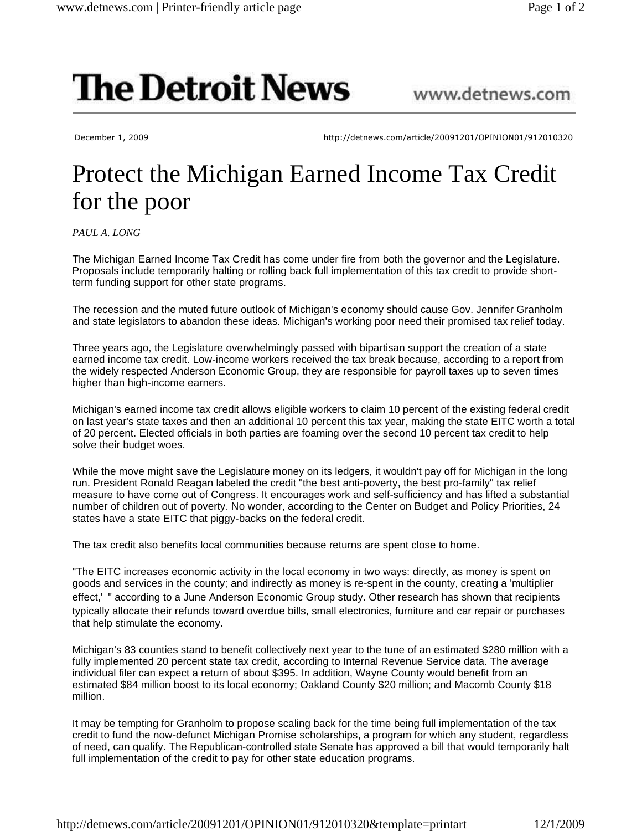## **The Detroit News**

December 1, 2009 http://detnews.com/article/20091201/OPINION01/912010320

www.detnews.com

## Protect the Michigan Earned Income Tax Credit for the poor

*PAUL A. LONG*

The Michigan Earned Income Tax Credit has come under fire from both the governor and the Legislature. Proposals include temporarily halting or rolling back full implementation of this tax credit to provide shortterm funding support for other state programs.

The recession and the muted future outlook of Michigan's economy should cause Gov. Jennifer Granholm and state legislators to abandon these ideas. Michigan's working poor need their promised tax relief today.

Three years ago, the Legislature overwhelmingly passed with bipartisan support the creation of a state earned income tax credit. Low-income workers received the tax break because, according to a report from the widely respected Anderson Economic Group, they are responsible for payroll taxes up to seven times higher than high-income earners.

Michigan's earned income tax credit allows eligible workers to claim 10 percent of the existing federal credit on last year's state taxes and then an additional 10 percent this tax year, making the state EITC worth a total of 20 percent. Elected officials in both parties are foaming over the second 10 percent tax credit to help solve their budget woes.

While the move might save the Legislature money on its ledgers, it wouldn't pay off for Michigan in the long run. President Ronald Reagan labeled the credit "the best anti-poverty, the best pro-family" tax relief measure to have come out of Congress. It encourages work and self-sufficiency and has lifted a substantial number of children out of poverty. No wonder, according to the Center on Budget and Policy Priorities, 24 states have a state EITC that piggy-backs on the federal credit.

The tax credit also benefits local communities because returns are spent close to home.

"The EITC increases economic activity in the local economy in two ways: directly, as money is spent on goods and services in the county; and indirectly as money is re-spent in the county, creating a 'multiplier effect,' " according to a June Anderson Economic Group study. Other research has shown that recipients typically allocate their refunds toward overdue bills, small electronics, furniture and car repair or purchases that help stimulate the economy.

Michigan's 83 counties stand to benefit collectively next year to the tune of an estimated \$280 million with a fully implemented 20 percent state tax credit, according to Internal Revenue Service data. The average individual filer can expect a return of about \$395. In addition, Wayne County would benefit from an estimated \$84 million boost to its local economy; Oakland County \$20 million; and Macomb County \$18 million.

It may be tempting for Granholm to propose scaling back for the time being full implementation of the tax credit to fund the now-defunct Michigan Promise scholarships, a program for which any student, regardless of need, can qualify. The Republican-controlled state Senate has approved a bill that would temporarily halt full implementation of the credit to pay for other state education programs.